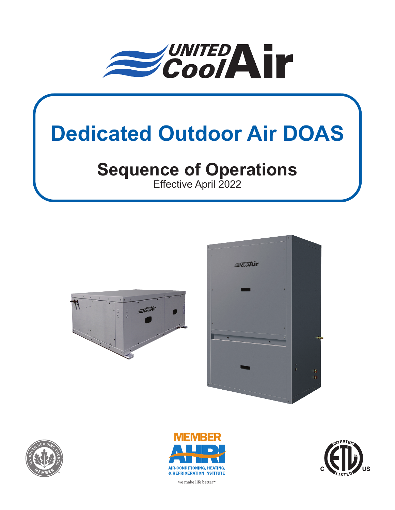

# **Dedicated Outdoor Air DOAS**

# **Sequence of Operations**

Effective April 2022











we make life better<sup>™</sup>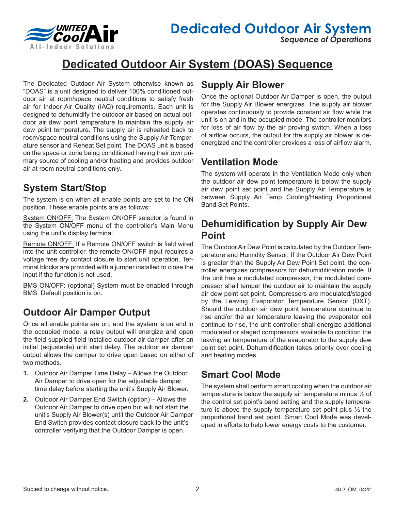

*Sequence of Operations*

### **Dedicated Outdoor Air System (DOAS) Sequence**

The Dedicated Outdoor Air System otherwise known as "DOAS" is a unit designed to deliver 100% conditioned outdoor air at room/space neutral conditions to satisfy fresh air for Indoor Air Quality (IAQ) requirements. Each unit is designed to dehumidify the outdoor air based on actual outdoor air dew point temperature to maintain the supply air dew point temperature. The supply air is reheated back to room/space neutral conditions using the Supply Air Temperature sensor and Reheat Set point. The DOAS unit is based on the space or zone being conditioned having their own primary source of cooling and/or heating and provides outdoor air at room neutral conditions only.

#### **System Start/Stop**

The system is on when all enable points are set to the ON position. These enable points are as follows:

System ON/OFF: The System ON/OFF selector is found in the System ON/OFF menu of the controller's Main Menu using the unit's display terminal.

Remote ON/OFF: If a Remote ON/OFF switch is field wired into the unit controller, the remote ON/OFF input requires a voltage free dry contact closure to start unit operation. Terminal blocks are provided with a jumper installed to close the input if the function is not used.

BMS ON/OFF: (optional) System must be enabled through BMS. Default position is on.

#### **Outdoor Air Damper Output**

Once all enable points are on, and the system is on and in the occupied mode, a relay output will energize and open the field supplied field installed outdoor air damper after an initial (adjustable) unit start delay. The outdoor air damper output allows the damper to drive open based on either of two methods.

- **1.** Outdoor Air Damper Time Delay Allows the Outdoor Air Damper to drive open for the adjustable damper time delay before starting the unit's Supply Air Blower.
- **2.** Outdoor Air Damper End Switch (option) Allows the Outdoor Air Damper to drive open but will not start the unit's Supply Air Blower(s) until the Outdoor Air Damper End Switch provides contact closure back to the unit's controller verifying that the Outdoor Damper is open.

#### **Supply Air Blower**

Once the optional Outdoor Air Damper is open, the output for the Supply Air Blower energizes. The supply air blower operates continuously to provide constant air flow while the unit is on and in the occupied mode. The controller monitors for loss of air flow by the air proving switch. When a loss of airflow occurs, the output for the supply air blower is deenergized and the controller provides a loss of airflow alarm.

#### **Ventilation Mode**

The system will operate in the Ventilation Mode only when the outdoor air dew point temperature is below the supply air dew point set point and the Supply Air Temperature is between Supply Air Temp Cooling/Heating Proportional Band Set Points.

#### **Dehumidification by Supply Air Dew Point**

The Outdoor Air Dew Point is calculated by the Outdoor Temperature and Humidity Sensor. If the Outdoor Air Dew Point is greater than the Supply Air Dew Point Set point, the controller energizes compressors for dehumidification mode. If the unit has a modulated compressor, the modulated compressor shall temper the outdoor air to maintain the supply air dew point set point. Compressors are modulated/staged by the Leaving Evaporator Temperature Sensor (DXT). Should the outdoor air dew point temperature continue to rise and/or the air temperature leaving the evaporator coil continue to rise, the unit controller shall energize additional modulated or staged compressors available to condition the leaving air temperature of the evaporator to the supply dew point set point. Dehumidification takes priority over cooling and heating modes.

#### **Smart Cool Mode**

The system shall perform smart cooling when the outdoor air temperature is below the supply air temperature minus ½ of the control set point's band setting and the supply temperature is above the supply temperature set point plus  $\frac{1}{2}$  the proportional band set point. Smart Cool Mode was developed in efforts to help lower energy costs to the customer.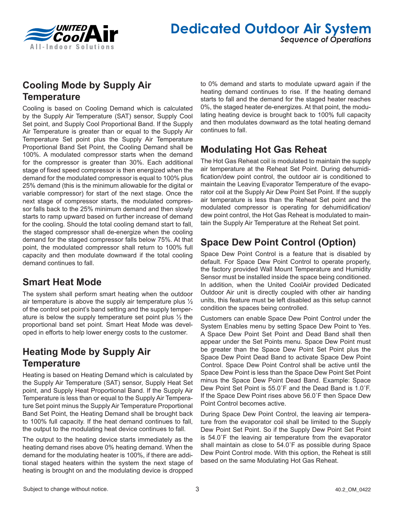

#### **Dedicated Outdoor Air System** *Sequence of Operations*

#### **Cooling Mode by Supply Air Temperature**

Cooling is based on Cooling Demand which is calculated by the Supply Air Temperature (SAT) sensor, Supply Cool Set point, and Supply Cool Proportional Band. If the Supply Air Temperature is greater than or equal to the Supply Air Temperature Set point plus the Supply Air Temperature Proportional Band Set Point, the Cooling Demand shall be 100%. A modulated compressor starts when the demand for the compressor is greater than 30%. Each additional stage of fixed speed compressor is then energized when the demand for the modulated compressor is equal to 100% plus 25% demand (this is the minimum allowable for the digital or variable compressor) for start of the next stage. Once the next stage of compressor starts, the modulated compressor falls back to the 25% minimum demand and then slowly starts to ramp upward based on further increase of demand for the cooling. Should the total cooling demand start to fall, the staged compressor shall de-energize when the cooling demand for the staged compressor falls below 75%. At that point, the modulated compressor shall return to 100% full capacity and then modulate downward if the total cooling demand continues to fall.

#### **Smart Heat Mode**

The system shall perform smart heating when the outdoor air temperature is above the supply air temperature plus ½ of the control set point's band setting and the supply temperature is below the supply temperature set point plus ½ the proportional band set point. Smart Heat Mode was developed in efforts to help lower energy costs to the customer.

#### **Heating Mode by Supply Air Temperature**

Heating is based on Heating Demand which is calculated by the Supply Air Temperature (SAT) sensor, Supply Heat Set point, and Supply Heat Proportional Band. If the Supply Air Temperature is less than or equal to the Supply Air Temperature Set point minus the Supply Air Temperature Proportional Band Set Point, the Heating Demand shall be brought back to 100% full capacity. If the heat demand continues to fall, the output to the modulating heat device continues to fall.

The output to the heating device starts immediately as the heating demand rises above 0% heating demand. When the demand for the modulating heater is 100%, if there are additional staged heaters within the system the next stage of heating is brought on and the modulating device is dropped

to 0% demand and starts to modulate upward again if the heating demand continues to rise. If the heating demand starts to fall and the demand for the staged heater reaches 0%, the staged heater de-energizes. At that point, the modulating heating device is brought back to 100% full capacity and then modulates downward as the total heating demand continues to fall.

#### **Modulating Hot Gas Reheat**

The Hot Gas Reheat coil is modulated to maintain the supply air temperature at the Reheat Set Point. During dehumidification/dew point control, the outdoor air is conditioned to maintain the Leaving Evaporator Temperature of the evaporator coil at the Supply Air Dew Point Set Point. If the supply air temperature is less than the Reheat Set point and the modulated compressor is operating for dehumidification/ dew point control, the Hot Gas Reheat is modulated to maintain the Supply Air Temperature at the Reheat Set point.

#### **Space Dew Point Control (Option)**

Space Dew Point Control is a feature that is disabled by default. For Space Dew Point Control to operate properly, the factory provided Wall Mount Temperature and Humidity Sensor must be installed inside the space being conditioned. In addition, when the United CoolAir provided Dedicated Outdoor Air unit is directly coupled with other air handing units, this feature must be left disabled as this setup cannot condition the spaces being controlled.

Customers can enable Space Dew Point Control under the System Enables menu by setting Space Dew Point to Yes. A Space Dew Point Set Point and Dead Band shall then appear under the Set Points menu. Space Dew Point must be greater than the Space Dew Point Set Point plus the Space Dew Point Dead Band to activate Space Dew Point Control. Space Dew Point Control shall be active until the Space Dew Point is less than the Space Dew Point Set Point minus the Space Dew Point Dead Band. Example: Space Dew Point Set Point is 55.0˚F and the Dead Band is 1.0˚F. If the Space Dew Point rises above 56.0˚F then Space Dew Point Control becomes active.

During Space Dew Point Control, the leaving air temperature from the evaporator coil shall be limited to the Supply Dew Point Set Point. So if the Supply Dew Point Set Point is 54.0˚F the leaving air temperature from the evaporator shall maintain as close to 54.0˚F as possible during Space Dew Point Control mode. With this option, the Reheat is still based on the same Modulating Hot Gas Reheat.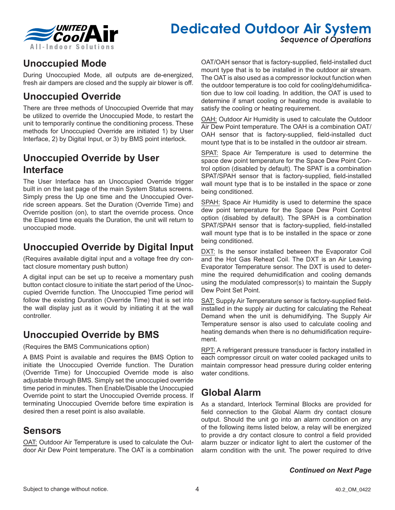

## **Dedicated Outdoor Air System**

*Sequence of Operations*

#### **Unoccupied Mode**

During Unoccupied Mode, all outputs are de-energized, fresh air dampers are closed and the supply air blower is off.

#### **Unoccupied Override**

There are three methods of Unoccupied Override that may be utilized to override the Unoccupied Mode, to restart the unit to temporarily continue the conditioning process. These methods for Unoccupied Override are initiated 1) by User Interface, 2) by Digital Input, or 3) by BMS point interlock.

#### **Unoccupied Override by User Interface**

The User Interface has an Unoccupied Override trigger built in on the last page of the main System Status screens. Simply press the Up one time and the Unoccupied Override screen appears. Set the Duration (Override Time) and Override position (on), to start the override process. Once the Elapsed time equals the Duration, the unit will return to unoccupied mode.

#### **Unoccupied Override by Digital Input**

(Requires available digital input and a voltage free dry contact closure momentary push button)

A digital input can be set up to receive a momentary push button contact closure to initiate the start period of the Unoccupied Override function. The Unoccupied Time period will follow the existing Duration (Override Time) that is set into the wall display just as it would by initiating it at the wall controller.

#### **Unoccupied Override by BMS**

(Requires the BMS Communications option)

A BMS Point is available and requires the BMS Option to initiate the Unoccupied Override function. The Duration (Override Time) for Unoccupied Override mode is also adjustable through BMS. Simply set the unoccupied override time period in minutes. Then Enable/Disable the Unoccupied Override point to start the Unoccupied Override process. If terminating Unoccupied Override before time expiration is desired then a reset point is also available.

#### **Sensors**

OAT: Outdoor Air Temperature is used to calculate the Outdoor Air Dew Point temperature. The OAT is a combination

OAT/OAH sensor that is factory-supplied, field-installed duct mount type that is to be installed in the outdoor air stream. The OAT is also used as a compressor lockout function when the outdoor temperature is too cold for cooling/dehumidification due to low coil loading. In addition, the OAT is used to determine if smart cooling or heating mode is available to satisfy the cooling or heating requirement.

OAH: Outdoor Air Humidity is used to calculate the Outdoor Air Dew Point temperature. The OAH is a combination OAT/ OAH sensor that is factory-supplied, field-installed duct mount type that is to be installed in the outdoor air stream.

SPAT: Space Air Temperature is used to determine the space dew point temperature for the Space Dew Point Control option (disabled by default). The SPAT is a combination SPAT/SPAH sensor that is factory-supplied, field-installed wall mount type that is to be installed in the space or zone being conditioned.

SPAH: Space Air Humidity is used to determine the space dew point temperature for the Space Dew Point Control option (disabled by default). The SPAH is a combination SPAT/SPAH sensor that is factory-supplied, field-installed wall mount type that is to be installed in the space or zone being conditioned.

DXT: Is the sensor installed between the Evaporator Coil and the Hot Gas Reheat Coil. The DXT is an Air Leaving Evaporator Temperature sensor. The DXT is used to determine the required dehumidification and cooling demands using the modulated compressor(s) to maintain the Supply Dew Point Set Point.

SAT: Supply Air Temperature sensor is factory-supplied fieldinstalled in the supply air ducting for calculating the Reheat Demand when the unit is dehumidifying. The Supply Air Temperature sensor is also used to calculate cooling and heating demands when there is no dehumidification requirement.

RPT: A refrigerant pressure transducer is factory installed in each compressor circuit on water cooled packaged units to maintain compressor head pressure during colder entering water conditions.

#### **Global Alarm**

As a standard, Interlock Terminal Blocks are provided for field connection to the Global Alarm dry contact closure output. Should the unit go into an alarm condition on any of the following items listed below, a relay will be energized to provide a dry contact closure to control a field provided alarm buzzer or indicator light to alert the customer of the alarm condition with the unit. The power required to drive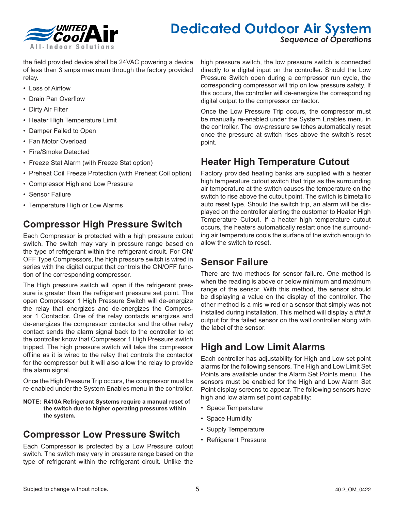

### **Dedicated Outdoor Air System**

*Sequence of Operations*

the field provided device shall be 24VAC powering a device of less than 3 amps maximum through the factory provided relay.

- Loss of Airflow
- Drain Pan Overflow
- Dirty Air Filter
- Heater High Temperature Limit
- Damper Failed to Open
- Fan Motor Overload
- Fire/Smoke Detected
- Freeze Stat Alarm (with Freeze Stat option)
- Preheat Coil Freeze Protection (with Preheat Coil option)
- Compressor High and Low Pressure
- Sensor Failure
- Temperature High or Low Alarms

#### **Compressor High Pressure Switch**

Each Compressor is protected with a high pressure cutout switch. The switch may vary in pressure range based on the type of refrigerant within the refrigerant circuit. For ON/ OFF Type Compressors, the high pressure switch is wired in series with the digital output that controls the ON/OFF function of the corresponding compressor.

The High pressure switch will open if the refrigerant pressure is greater than the refrigerant pressure set point. The open Compressor 1 High Pressure Switch will de-energize the relay that energizes and de-energizes the Compressor 1 Contactor. One of the relay contacts energizes and de-energizes the compressor contactor and the other relay contact sends the alarm signal back to the controller to let the controller know that Compressor 1 High Pressure switch tripped. The high pressure switch will take the compressor offline as it is wired to the relay that controls the contactor for the compressor but it will also allow the relay to provide the alarm signal.

Once the High Pressure Trip occurs, the compressor must be re-enabled under the System Enables menu in the controller.

**NOTE: R410A Refrigerant Systems require a manual reset of the switch due to higher operating pressures within the system.**

#### **Compressor Low Pressure Switch**

Each Compressor is protected by a Low Pressure cutout switch. The switch may vary in pressure range based on the type of refrigerant within the refrigerant circuit. Unlike the

high pressure switch, the low pressure switch is connected directly to a digital input on the controller. Should the Low Pressure Switch open during a compressor run cycle, the corresponding compressor will trip on low pressure safety. If this occurs, the controller will de-energize the corresponding digital output to the compressor contactor.

Once the Low Pressure Trip occurs, the compressor must be manually re-enabled under the System Enables menu in the controller. The low-pressure switches automatically reset once the pressure at switch rises above the switch's reset point.

#### **Heater High Temperature Cutout**

Factory provided heating banks are supplied with a heater high temperature cutout switch that trips as the surrounding air temperature at the switch causes the temperature on the switch to rise above the cutout point. The switch is bimetallic auto reset type. Should the switch trip, an alarm will be displayed on the controller alerting the customer to Heater High Temperature Cutout. If a heater high temperature cutout occurs, the heaters automatically restart once the surrounding air temperature cools the surface of the switch enough to allow the switch to reset.

#### **Sensor Failure**

There are two methods for sensor failure. One method is when the reading is above or below minimum and maximum range of the sensor. With this method, the sensor should be displaying a value on the display of the controller. The other method is a mis-wired or a sensor that simply was not installed during installation. This method will display a ###.# output for the failed sensor on the wall controller along with the label of the sensor.

#### **High and Low Limit Alarms**

Each controller has adjustability for High and Low set point alarms for the following sensors. The High and Low Limit Set Points are available under the Alarm Set Points menu. The sensors must be enabled for the High and Low Alarm Set Point display screens to appear. The following sensors have high and low alarm set point capability:

- Space Temperature
- Space Humidity
- Supply Temperature
- Refrigerant Pressure